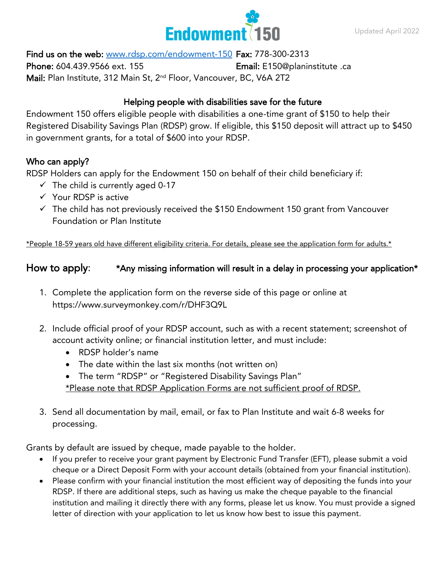

Find us on the web: [www.rdsp.com/endowment-150](http://www.rdsp.com/endowment-150) Fax: 778-300-2313

Phone: 604.439.9566 ext. 155 **Email:** E150@planinstitute .ca Mail: Plan Institute, 312 Main St, 2<sup>nd</sup> Floor, Vancouver, BC, V6A 2T2

## Helping people with disabilities save for the future

Endowment 150 offers eligible people with disabilities a one-time grant of \$150 to help their Registered Disability Savings Plan (RDSP) grow. If eligible, this \$150 deposit will attract up to \$450 in government grants, for a total of \$600 into your RDSP.

### Who can apply?

RDSP Holders can apply for the Endowment 150 on behalf of their child beneficiary if:

- $\checkmark$  The child is currently aged 0-17
- ✓ Your RDSP is active
- $\checkmark$  The child has not previously received the \$150 Endowment 150 grant from Vancouver Foundation or Plan Institute

\*People 18-59 years old have different eligibility criteria. For details, please see the application form for adults.\*

# How to apply: \*Any missing information will result in a delay in processing your application\*

- 1. Complete the application form on the reverse side of this page or online at https://www.surveymonkey.com/r/DHF3Q9L
- 2. Include official proof of your RDSP account, such as with a recent statement; screenshot of account activity online; or financial institution letter, and must include:
	- RDSP holder's name
	- The date within the last six months (not written on)
	- The term "RDSP" or "Registered Disability Savings Plan" \*Please note that RDSP Application Forms are not sufficient proof of RDSP.
- 3. Send all documentation by mail, email, or fax to Plan Institute and wait 6-8 weeks for processing.

Grants by default are issued by cheque, made payable to the holder.

- If you prefer to receive your grant payment by Electronic Fund Transfer (EFT), please submit a void cheque or a Direct Deposit Form with your account details (obtained from your financial institution).
- Please confirm with your financial institution the most efficient way of depositing the funds into your RDSP. If there are additional steps, such as having us make the cheque payable to the financial institution and mailing it directly there with any forms, please let us know. You must provide a signed letter of direction with your application to let us know how best to issue this payment.